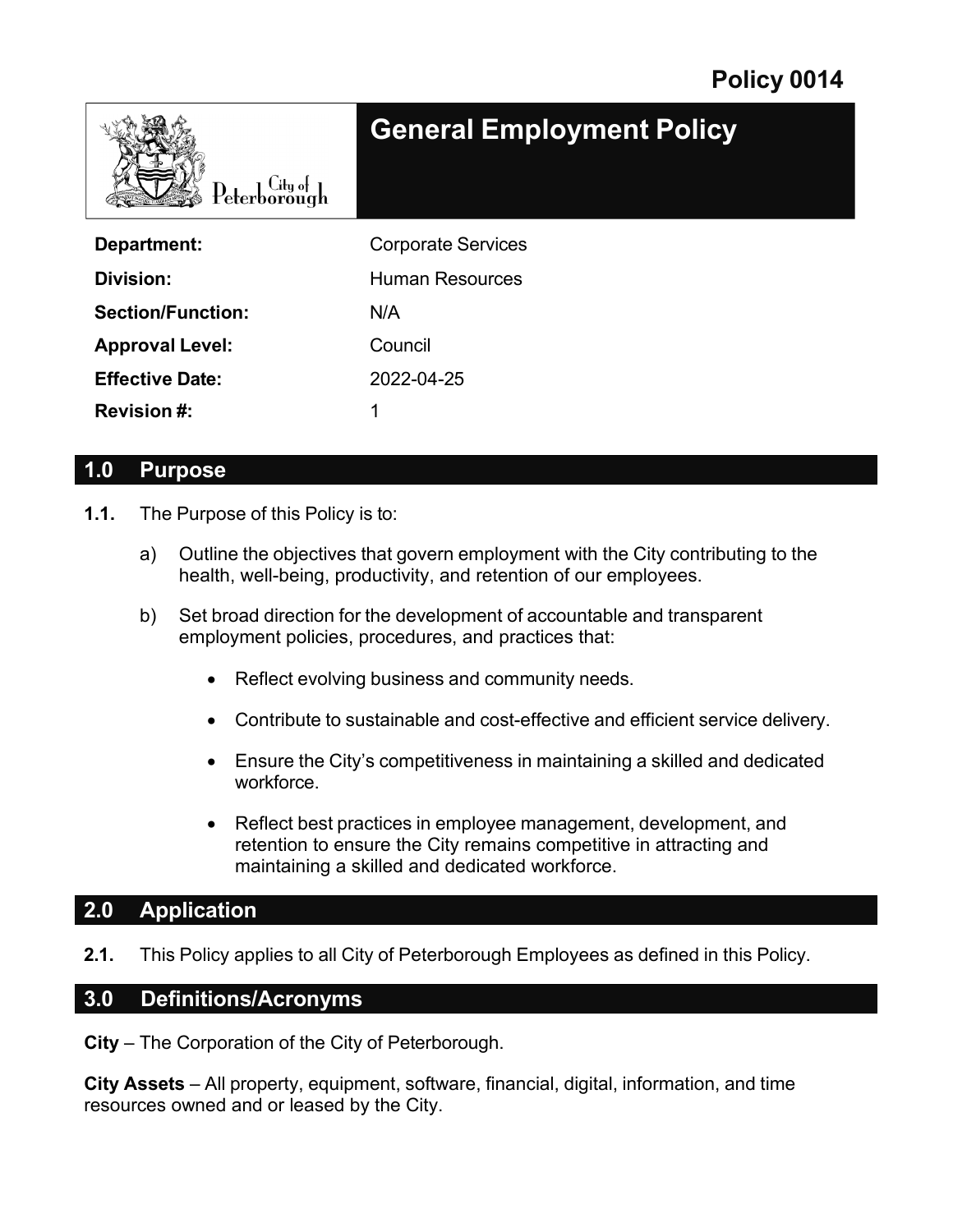| $\text{Peterborough}$    | <b>General Employment Policy</b> |
|--------------------------|----------------------------------|
| Department:              | <b>Corporate Services</b>        |
| Division:                | <b>Human Resources</b>           |
| <b>Section/Function:</b> | N/A                              |
| <b>Approval Level:</b>   | Council                          |
| <b>Effective Date:</b>   | 2022-04-25                       |
| <b>Revision#:</b>        | 1                                |

### **1.0 Purpose**

- **1.1.** The Purpose of this Policy is to:
	- a) Outline the objectives that govern employment with the City contributing to the health, well-being, productivity, and retention of our employees.
	- b) Set broad direction for the development of accountable and transparent employment policies, procedures, and practices that:
		- Reflect evolving business and community needs.
		- Contribute to sustainable and cost-effective and efficient service delivery.
		- Ensure the City's competitiveness in maintaining a skilled and dedicated workforce.
		- Reflect best practices in employee management, development, and retention to ensure the City remains competitive in attracting and maintaining a skilled and dedicated workforce.

# **2.0 Application**

**2.1.** This Policy applies to all City of Peterborough Employees as defined in this Policy.

### **3.0 Definitions/Acronyms**

**City** – The Corporation of the City of Peterborough.

**City Assets** – All property, equipment, software, financial, digital, information, and time resources owned and or leased by the City.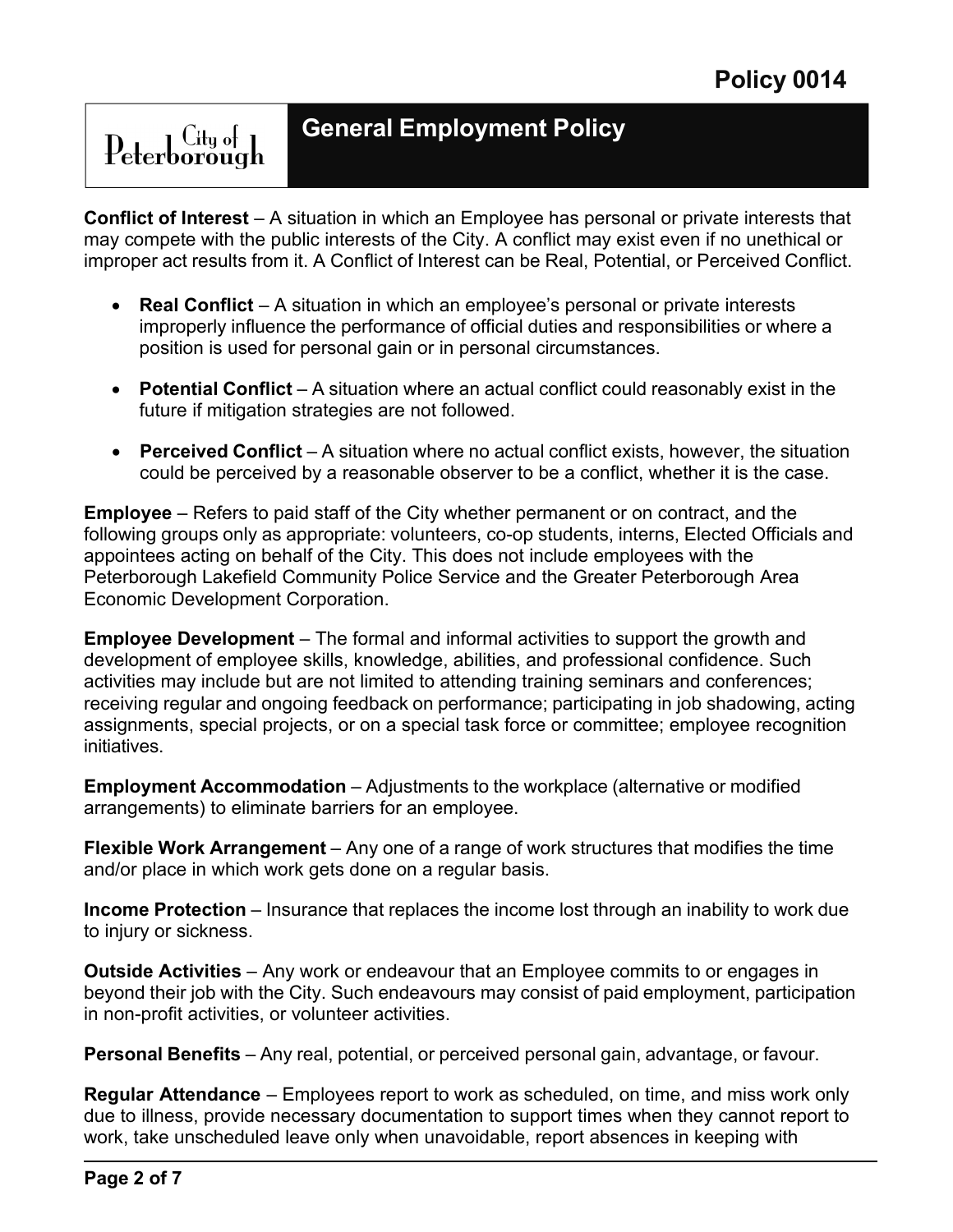# $\text{Peterborough}$

# **General Employment Policy**

**Conflict of Interest** – A situation in which an Employee has personal or private interests that may compete with the public interests of the City. A conflict may exist even if no unethical or improper act results from it. A Conflict of Interest can be Real, Potential, or Perceived Conflict.

- **Real Conflict**  A situation in which an employee's personal or private interests improperly influence the performance of official duties and responsibilities or where a position is used for personal gain or in personal circumstances.
- **Potential Conflict** A situation where an actual conflict could reasonably exist in the future if mitigation strategies are not followed.
- **Perceived Conflict** A situation where no actual conflict exists, however, the situation could be perceived by a reasonable observer to be a conflict, whether it is the case.

**Employee** – Refers to paid staff of the City whether permanent or on contract, and the following groups only as appropriate: volunteers, co-op students, interns, Elected Officials and appointees acting on behalf of the City. This does not include employees with the Peterborough Lakefield Community Police Service and the Greater Peterborough Area Economic Development Corporation.

**Employee Development** – The formal and informal activities to support the growth and development of employee skills, knowledge, abilities, and professional confidence. Such activities may include but are not limited to attending training seminars and conferences; receiving regular and ongoing feedback on performance; participating in job shadowing, acting assignments, special projects, or on a special task force or committee; employee recognition initiatives.

**Employment Accommodation** – Adjustments to the workplace (alternative or modified arrangements) to eliminate barriers for an employee.

**Flexible Work Arrangement** – Any one of a range of work structures that modifies the time and/or place in which work gets done on a regular basis.

**Income Protection** – Insurance that replaces the income lost through an inability to work due to injury or sickness.

**Outside Activities** – Any work or endeavour that an Employee commits to or engages in beyond their job with the City. Such endeavours may consist of paid employment, participation in non-profit activities, or volunteer activities.

**Personal Benefits** – Any real, potential, or perceived personal gain, advantage, or favour.

**Regular Attendance** – Employees report to work as scheduled, on time, and miss work only due to illness, provide necessary documentation to support times when they cannot report to work, take unscheduled leave only when unavoidable, report absences in keeping with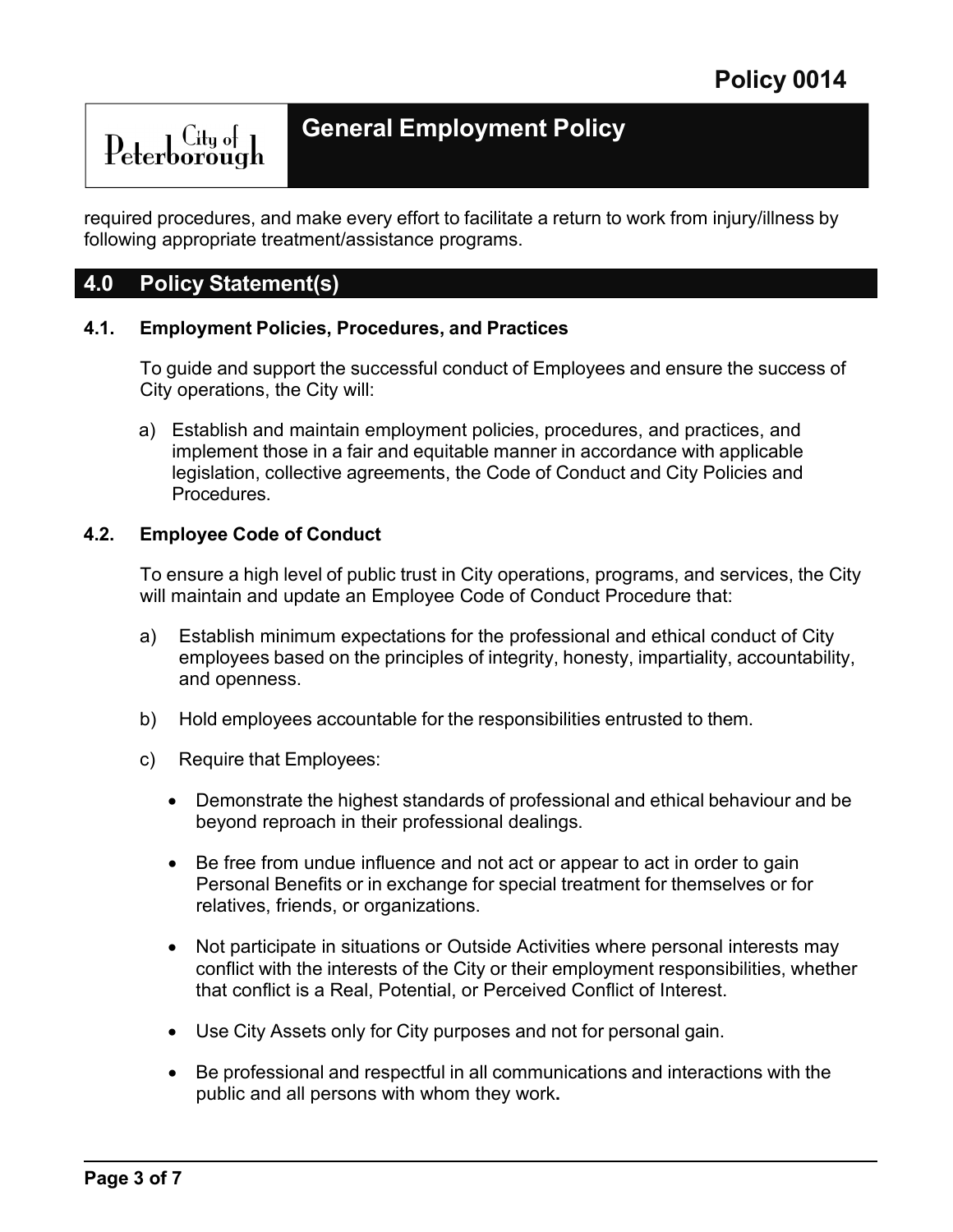$\text{Peterborough}$ 

# **General Employment Policy**

required procedures, and make every effort to facilitate a return to work from injury/illness by following appropriate treatment/assistance programs.

### **4.0 Policy Statement(s)**

#### **4.1. Employment Policies, Procedures, and Practices**

To guide and support the successful conduct of Employees and ensure the success of City operations, the City will:

a) Establish and maintain employment policies, procedures, and practices, and implement those in a fair and equitable manner in accordance with applicable legislation, collective agreements, the Code of Conduct and City Policies and Procedures.

#### **4.2. Employee Code of Conduct**

To ensure a high level of public trust in City operations, programs, and services, the City will maintain and update an Employee Code of Conduct Procedure that:

- a) Establish minimum expectations for the professional and ethical conduct of City employees based on the principles of integrity, honesty, impartiality, accountability, and openness.
- b) Hold employees accountable for the responsibilities entrusted to them.
- c) Require that Employees:
	- Demonstrate the highest standards of professional and ethical behaviour and be beyond reproach in their professional dealings.
	- Be free from undue influence and not act or appear to act in order to gain Personal Benefits or in exchange for special treatment for themselves or for relatives, friends, or organizations.
	- Not participate in situations or Outside Activities where personal interests may conflict with the interests of the City or their employment responsibilities, whether that conflict is a Real, Potential, or Perceived Conflict of Interest.
	- Use City Assets only for City purposes and not for personal gain.
	- Be professional and respectful in all communications and interactions with the public and all persons with whom they work**.**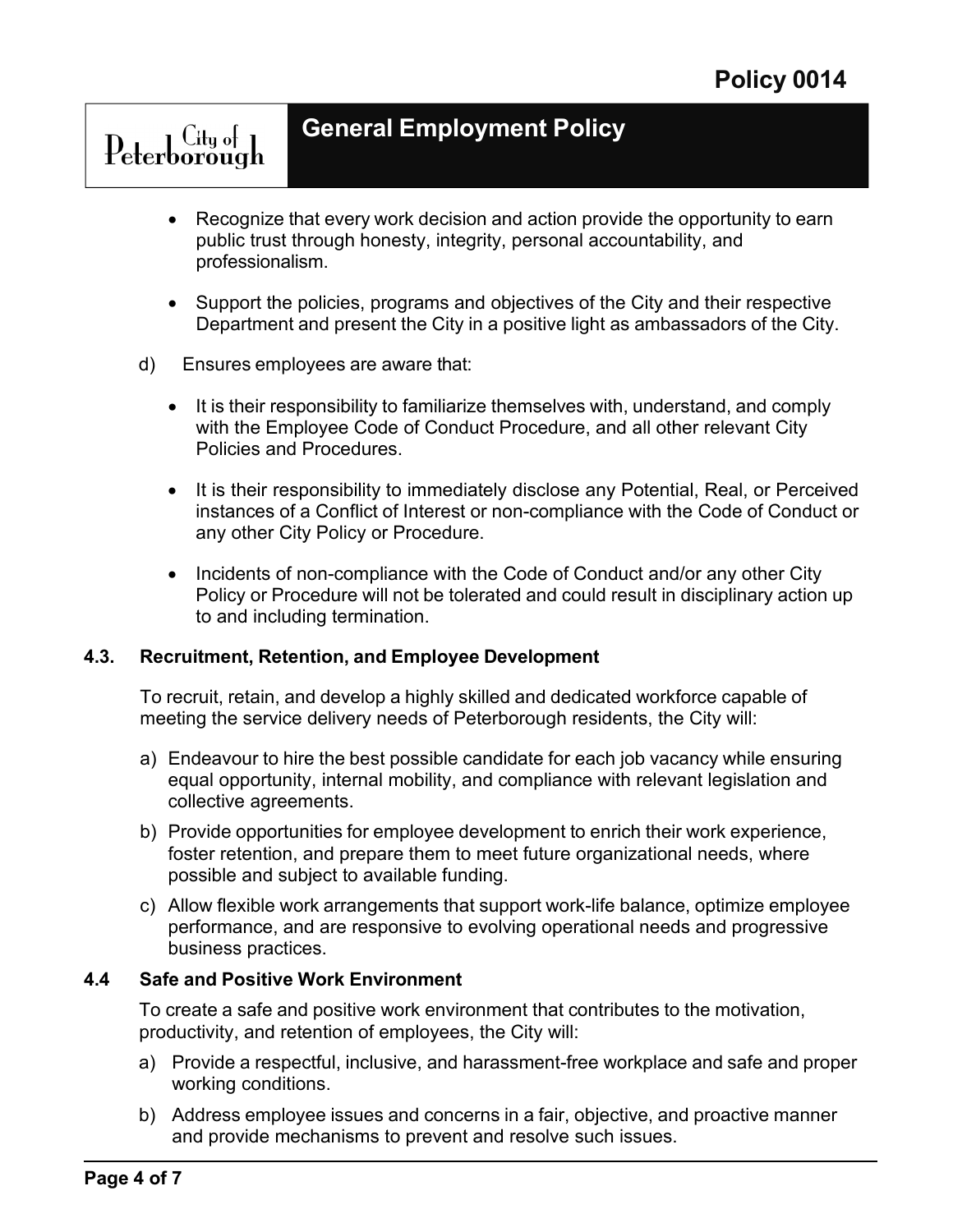# **General Employment Policy**

- Recognize that every work decision and action provide the opportunity to earn public trust through honesty, integrity, personal accountability, and professionalism.
- Support the policies, programs and objectives of the City and their respective Department and present the City in a positive light as ambassadors of the City.
- d) Ensures employees are aware that:

Peterborough

- It is their responsibility to familiarize themselves with, understand, and comply with the Employee Code of Conduct Procedure, and all other relevant City Policies and Procedures.
- It is their responsibility to immediately disclose any Potential, Real, or Perceived instances of a Conflict of Interest or non-compliance with the Code of Conduct or any other City Policy or Procedure.
- Incidents of non-compliance with the Code of Conduct and/or any other City Policy or Procedure will not be tolerated and could result in disciplinary action up to and including termination.

#### **4.3. Recruitment, Retention, and Employee Development**

To recruit, retain, and develop a highly skilled and dedicated workforce capable of meeting the service delivery needs of Peterborough residents, the City will:

- a) Endeavour to hire the best possible candidate for each job vacancy while ensuring equal opportunity, internal mobility, and compliance with relevant legislation and collective agreements.
- b) Provide opportunities for employee development to enrich their work experience, foster retention, and prepare them to meet future organizational needs, where possible and subject to available funding.
- c) Allow flexible work arrangements that support work-life balance, optimize employee performance, and are responsive to evolving operational needs and progressive business practices.

#### **4.4 Safe and Positive Work Environment**

To create a safe and positive work environment that contributes to the motivation, productivity, and retention of employees, the City will:

- a) Provide a respectful, inclusive, and harassment-free workplace and safe and proper working conditions.
- b) Address employee issues and concerns in a fair, objective, and proactive manner and provide mechanisms to prevent and resolve such issues.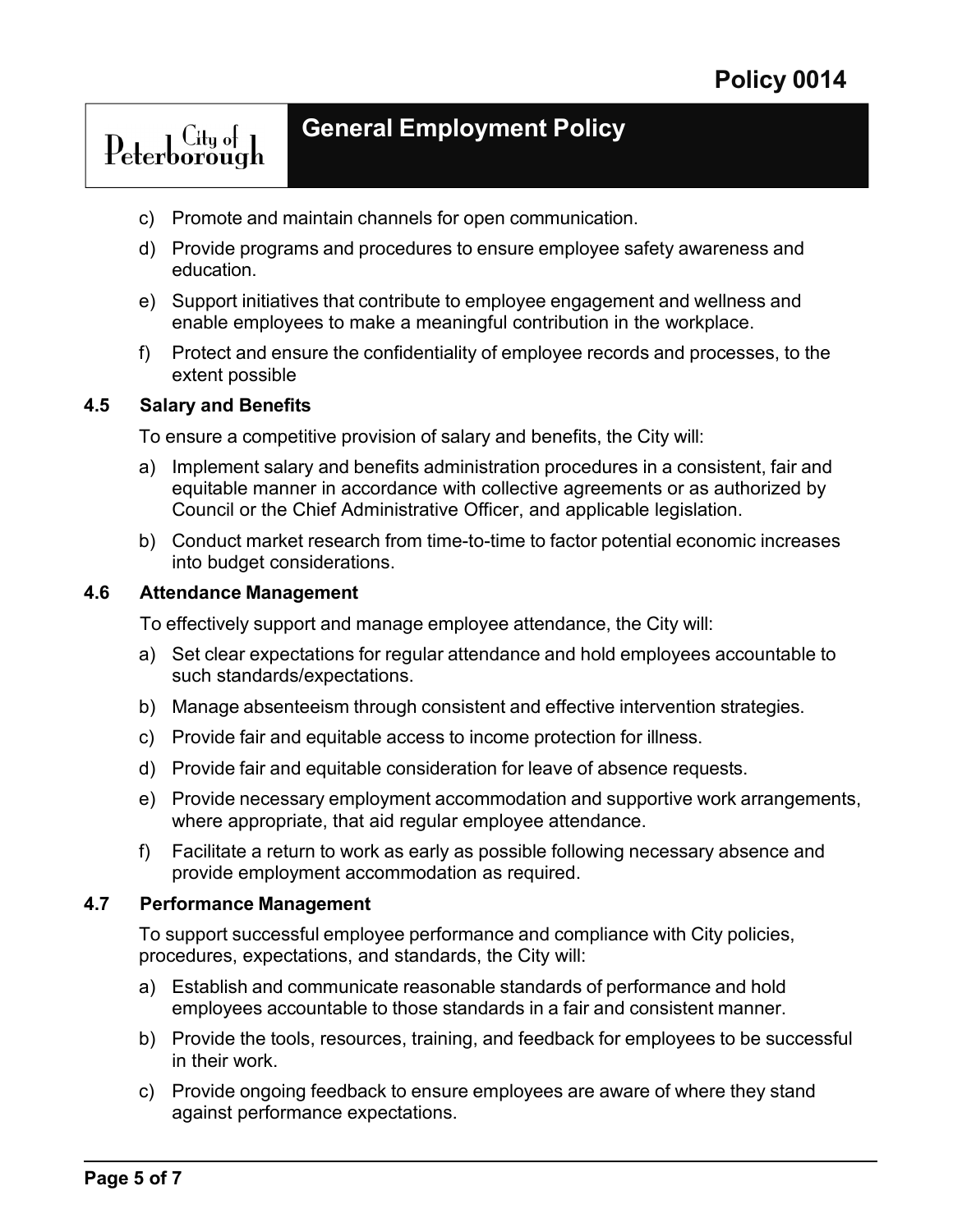# Peterborough

# **General Employment Policy**

- c) Promote and maintain channels for open communication.
- d) Provide programs and procedures to ensure employee safety awareness and education.
- e) Support initiatives that contribute to employee engagement and wellness and enable employees to make a meaningful contribution in the workplace.
- f) Protect and ensure the confidentiality of employee records and processes, to the extent possible

#### **4.5 Salary and Benefits**

To ensure a competitive provision of salary and benefits, the City will:

- a) Implement salary and benefits administration procedures in a consistent, fair and equitable manner in accordance with collective agreements or as authorized by Council or the Chief Administrative Officer, and applicable legislation.
- b) Conduct market research from time-to-time to factor potential economic increases into budget considerations.

#### **4.6 Attendance Management**

To effectively support and manage employee attendance, the City will:

- a) Set clear expectations for regular attendance and hold employees accountable to such standards/expectations.
- b) Manage absenteeism through consistent and effective intervention strategies.
- c) Provide fair and equitable access to income protection for illness.
- d) Provide fair and equitable consideration for leave of absence requests.
- e) Provide necessary employment accommodation and supportive work arrangements, where appropriate, that aid regular employee attendance.
- f) Facilitate a return to work as early as possible following necessary absence and provide employment accommodation as required.

#### **4.7 Performance Management**

To support successful employee performance and compliance with City policies, procedures, expectations, and standards, the City will:

- a) Establish and communicate reasonable standards of performance and hold employees accountable to those standards in a fair and consistent manner.
- b) Provide the tools, resources, training, and feedback for employees to be successful in their work.
- c) Provide ongoing feedback to ensure employees are aware of where they stand against performance expectations.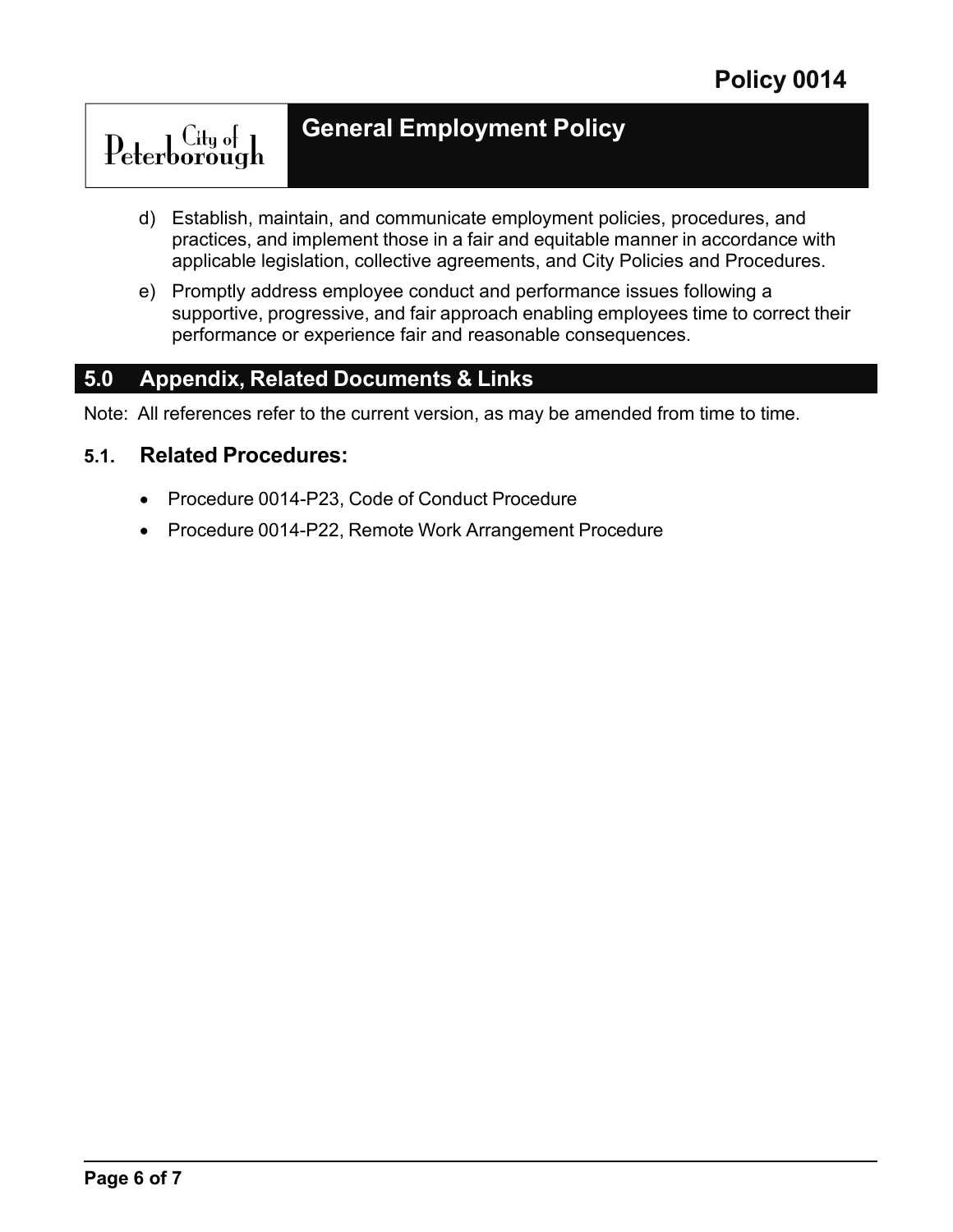# $\operatorname{Peterborough}$

# **General Employment Policy**

- d) Establish, maintain, and communicate employment policies, procedures, and practices, and implement those in a fair and equitable manner in accordance with applicable legislation, collective agreements, and City Policies and Procedures.
- e) Promptly address employee conduct and performance issues following a supportive, progressive, and fair approach enabling employees time to correct their performance or experience fair and reasonable consequences.

# **5.0 Appendix, Related Documents & Links**

Note: All references refer to the current version, as may be amended from time to time.

### **5.1. Related Procedures:**

- Procedure 0014-P23, Code of Conduct Procedure
- Procedure 0014-P22, Remote Work Arrangement Procedure